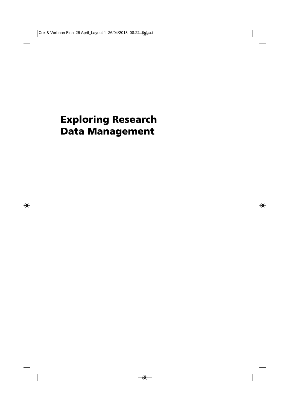## Exploring Research Data Management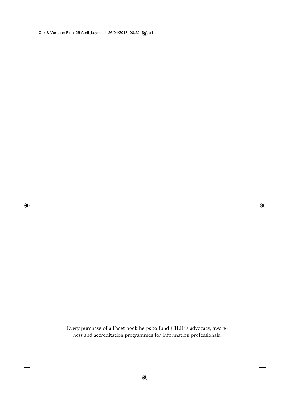Every purchase of a Facet book helps to fund CILIP's advocacy, awareness and accreditation programmes for information professionals.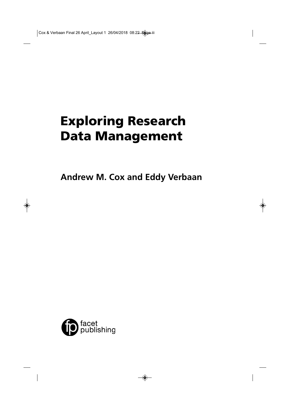# Exploring Research Data Management

**Andrew M. Cox and Eddy Verbaan**

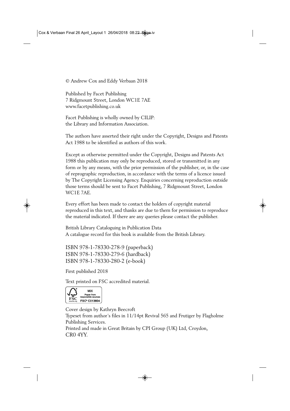© Andrew Cox and Eddy Verbaan 2018

Published by Facet Publishing 7 Ridgmount Street, London WC1E 7AE www.facetpublishing.co.uk

Facet Publishing is wholly owned by CILIP: the Library and Information Association.

The authors have asserted their right under the Copyright, Designs and Patents Act 1988 to be identified as authors of this work.

Except as otherwise permitted under the Copyright, Designs and Patents Act 1988 this publication may only be reproduced, stored or transmitted in any form or by any means, with the prior permission of the publisher, or, in the case of reprographic reproduction, in accordance with the terms of a licence issued by The Copyright Licensing Agency. Enquiries concerning reproduction outside those terms should be sent to Facet Publishing, 7 Ridgmount Street, London WC1E 7AE.

Every effort has been made to contact the holders of copyright material reproduced in this text, and thanks are due to them for permission to reproduce the material indicated. If there are any queries please contact the publisher.

British Library Cataloguing in Publication Data A catalogue record for this book is available from the British Library.

ISBN 978-1-78330-278-9 (paperback) ISBN 978-1-78330-279-6 (hardback) ISBN 978-1-78330-280-2 (e-book)

First published 2018

Text printed on FSC accredited material.



Cover design by Kathryn Beecroft

Typeset from author's files in 11/14pt Revival 565 and Frutiger by Flagholme Publishing Services.

Printed and made in Great Britain by CPI Group (UK) Ltd, Croydon, CR0 4YY.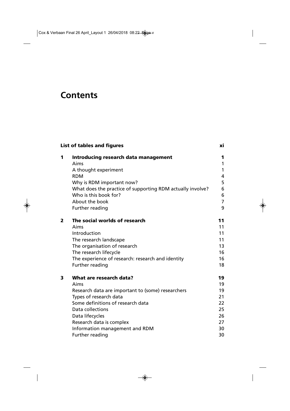## **Contents**

|   | <b>List of tables and figures</b>                                           |                |
|---|-----------------------------------------------------------------------------|----------------|
| 1 | <b>Introducing research data management</b><br>Aims<br>A thought experiment | 1<br>1<br>1    |
|   | <b>RDM</b>                                                                  | 4              |
|   | Why is RDM important now?                                                   | 5              |
|   | What does the practice of supporting RDM actually involve?                  | 6              |
|   | Who is this book for?                                                       | 6              |
|   | About the book                                                              | $\overline{7}$ |
|   | Further reading                                                             | 9              |
| 2 | The social worlds of research                                               | 11             |
|   | Aims                                                                        | 11             |
|   | Introduction                                                                | 11             |
|   | The research landscape                                                      | 11             |
|   | The organisation of research                                                | 13             |
|   | The research lifecycle                                                      | 16             |
|   | The experience of research: research and identity<br>Further reading        | 16<br>18       |
|   |                                                                             |                |
| 3 | What are research data?<br>Aims                                             | 19<br>19       |
|   | Research data are important to (some) researchers                           | 19             |
|   | Types of research data                                                      | 21             |
|   | Some definitions of research data                                           | 22             |
|   | Data collections                                                            | 25             |
|   | Data lifecycles                                                             | 26             |
|   | Research data is complex                                                    | 27             |
|   | Information management and RDM<br>Further reading                           | 30<br>30       |
|   |                                                                             |                |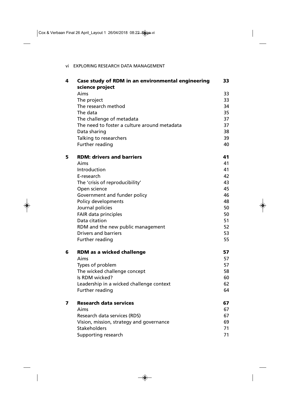#### vi EXPLORING RESEARCH DATA MANAGEMENT

| 4 | Case study of RDM in an environmental engineering<br>science project | 33       |
|---|----------------------------------------------------------------------|----------|
|   | Aims                                                                 | 33       |
|   | The project                                                          | 33       |
|   | The research method                                                  | 34       |
|   | The data                                                             | 35       |
|   | The challenge of metadata                                            | 37       |
|   | The need to foster a culture around metadata                         | 37       |
|   | Data sharing                                                         | 38       |
|   | Talking to researchers                                               | 39       |
|   | Further reading                                                      | 40       |
| 5 | <b>RDM: drivers and barriers</b>                                     | 41       |
|   | Aims                                                                 | 41       |
|   | Introduction                                                         | 41       |
|   | E-research                                                           | 42       |
|   | The 'crisis of reproducibility'                                      | 43       |
|   | Open science                                                         | 45       |
|   | Government and funder policy                                         | 46<br>48 |
|   | Policy developments                                                  | 50       |
|   | Journal policies<br>FAIR data principles                             | 50       |
|   | Data citation                                                        | 51       |
|   | RDM and the new public management                                    | 52       |
|   | <b>Drivers and barriers</b>                                          | 53       |
|   | Further reading                                                      | 55       |
| 6 | <b>RDM as a wicked challenge</b>                                     | 57       |
|   | Aims                                                                 | 57       |
|   | Types of problem                                                     | 57       |
|   | The wicked challenge concept                                         | 58       |
|   | Is RDM wicked?                                                       | 60       |
|   | Leadership in a wicked challenge context                             | 62       |
|   | Further reading                                                      | 64       |
| 7 | <b>Research data services</b>                                        | 67       |
|   | Aims                                                                 | 67       |
|   | Research data services (RDS)                                         | 67       |
|   | Vision, mission, strategy and governance                             | 69       |
|   | <b>Stakeholders</b>                                                  | 71       |
|   | Supporting research                                                  | 71       |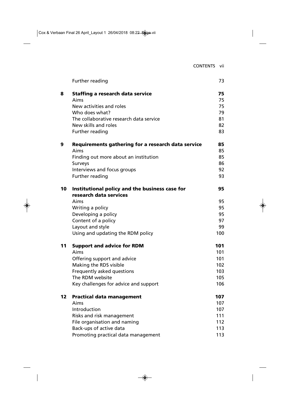|    | Further reading                                      | 73         |
|----|------------------------------------------------------|------------|
| 8  | <b>Staffing a research data service</b><br>Aims      | 75<br>75   |
|    | New activities and roles                             | 75         |
|    | Who does what?                                       | 79         |
|    | The collaborative research data service              | 81         |
|    | New skills and roles                                 | 82         |
|    | Further reading                                      | 83         |
| 9  | Requirements gathering for a research data service   | 85         |
|    | Aims                                                 | 85         |
|    | Finding out more about an institution<br>Surveys     | 85<br>86   |
|    | Interviews and focus groups                          | 92         |
|    | Further reading                                      | 93         |
| 10 | Institutional policy and the business case for       | 95         |
|    | research data services                               |            |
|    | Aims                                                 | 95         |
|    | Writing a policy                                     | 95         |
|    | Developing a policy                                  | 95         |
|    | Content of a policy                                  | 97         |
|    | Layout and style                                     | 99         |
|    | Using and updating the RDM policy                    | 100        |
| 11 | <b>Support and advice for RDM</b>                    | 101        |
|    | Aims                                                 | 101        |
|    | Offering support and advice                          | 101        |
|    | Making the RDS visible<br>Frequently asked questions | 102<br>103 |
|    | The RDM website                                      | 105        |
|    | Key challenges for advice and support                | 106        |
| 12 | <b>Practical data management</b>                     | 107        |
|    | Aims                                                 | 107        |
|    | Introduction                                         | 107        |
|    | Risks and risk management                            | 111        |
|    | File organisation and naming                         | 112        |
|    | Back-ups of active data                              | 113        |
|    | Promoting practical data management                  | 113        |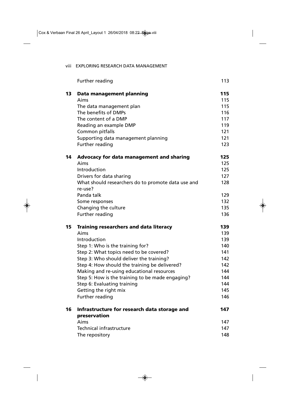|    | Further reading                                                                 | 113        |
|----|---------------------------------------------------------------------------------|------------|
| 13 | Data management planning                                                        | 115        |
|    | Aims                                                                            | 115        |
|    | The data management plan                                                        | 115        |
|    | The benefits of DMPs                                                            | 116        |
|    | The content of a DMP                                                            | 117        |
|    | Reading an example DMP                                                          | 119        |
|    | Common pitfalls                                                                 | 121        |
|    | Supporting data management planning<br>Further reading                          | 121<br>123 |
| 14 | <b>Advocacy for data management and sharing</b>                                 | 125        |
|    | Aims                                                                            | 125        |
|    | Introduction                                                                    | 125        |
|    | Drivers for data sharing                                                        | 127        |
|    | What should researchers do to promote data use and<br>re-use?                   | 128        |
|    | Panda talk                                                                      | 129        |
|    | Some responses                                                                  | 132        |
|    | Changing the culture                                                            | 135        |
|    | Further reading                                                                 | 136        |
| 15 | <b>Training researchers and data literacy</b>                                   | 139        |
|    | Aims                                                                            | 139        |
|    | Introduction                                                                    | 139        |
|    | Step 1: Who is the training for?                                                | 140        |
|    | Step 2: What topics need to be covered?                                         | 141        |
|    | Step 3: Who should deliver the training?                                        | 142        |
|    | Step 4: How should the training be delivered?                                   | 142        |
|    | Making and re-using educational resources                                       | 144<br>144 |
|    | Step 5: How is the training to be made engaging?<br>Step 6: Evaluating training | 144        |
|    | Getting the right mix                                                           | 145        |
|    | Further reading                                                                 | 146        |
| 16 | Infrastructure for research data storage and                                    | 147        |
|    | preservation<br>Aims                                                            | 147        |
|    | <b>Technical infrastructure</b>                                                 | 147        |
|    | The repository                                                                  | 148        |
|    |                                                                                 |            |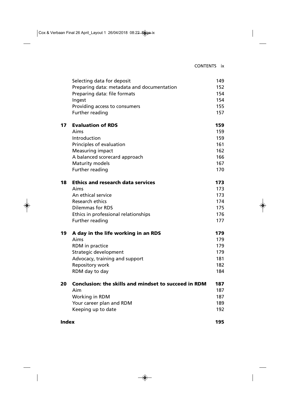|              | Selecting data for deposit<br>Preparing data: metadata and documentation<br>Preparing data: file formats | 149<br>152<br>154<br>154 |
|--------------|----------------------------------------------------------------------------------------------------------|--------------------------|
|              | Ingest<br>Providing access to consumers                                                                  | 155                      |
|              | Further reading                                                                                          | 157                      |
| 17           | <b>Evaluation of RDS</b>                                                                                 | 159                      |
|              | Aims                                                                                                     | 159                      |
|              | Introduction                                                                                             | 159                      |
|              | Principles of evaluation                                                                                 | 161                      |
|              | Measuring impact                                                                                         | 162<br>166               |
|              | A balanced scorecard approach<br>Maturity models                                                         | 167                      |
|              | Further reading                                                                                          | 170                      |
|              |                                                                                                          |                          |
| 18           | <b>Ethics and research data services</b>                                                                 | 173                      |
|              | Aims                                                                                                     | 173                      |
|              | An ethical service                                                                                       | 173                      |
|              | Research ethics                                                                                          | 174                      |
|              | <b>Dilemmas for RDS</b>                                                                                  | 175                      |
|              | Ethics in professional relationships                                                                     | 176                      |
|              | Further reading                                                                                          | 177                      |
| 19           | A day in the life working in an RDS                                                                      | 179                      |
|              | Aims                                                                                                     | 179                      |
|              | RDM in practice                                                                                          | 179                      |
|              | Strategic development                                                                                    | 179                      |
|              | Advocacy, training and support                                                                           | 181<br>182               |
|              | Repository work<br>RDM day to day                                                                        | 184                      |
|              |                                                                                                          |                          |
| 20           | <b>Conclusion: the skills and mindset to succeed in RDM</b>                                              | 187                      |
|              | Aim                                                                                                      | 187                      |
|              | Working in RDM                                                                                           | 187                      |
|              | Your career plan and RDM                                                                                 | 189                      |
|              | Keeping up to date                                                                                       | 192                      |
| <b>Index</b> |                                                                                                          | 195                      |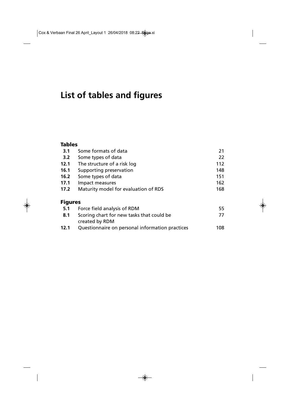## **List of tables and figures**

## Tables

| 3.1            | Some formats of data                            | 21  |
|----------------|-------------------------------------------------|-----|
| $3.2^{\circ}$  | Some types of data                              | 22  |
| 12.1           | The structure of a risk log                     | 112 |
| 16.1           | Supporting preservation                         | 148 |
| 16.2           | Some types of data                              | 151 |
| 17.1           | Impact measures                                 | 162 |
| 17.2           | Maturity model for evaluation of RDS            | 168 |
| <b>Figures</b> |                                                 |     |
| 5.1            | Force field analysis of RDM                     | 55  |
| 8.1            | Scoring chart for new tasks that could be       | 77  |
|                | created by RDM                                  |     |
| 12.1           | Questionnaire on personal information practices | 108 |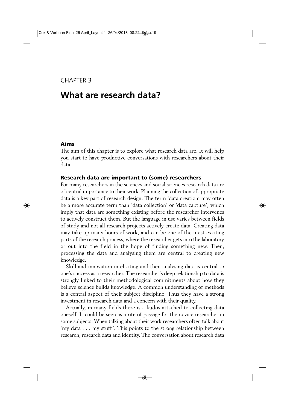## CHAPTER 3

## **What are research data?**

#### Aims

The aim of this chapter is to explore what research data are. It will help you start to have productive conversations with researchers about their data.

#### Research data are important to (some) researchers

For many researchers in the sciences and social sciences research data are of central importance to their work. Planning the collection of appropriate data is a key part of research design. The term 'data creation' may often be a more accurate term than 'data collection' or 'data capture', which imply that data are something existing before the researcher intervenes to actively construct them. But the language in use varies between fields of study and not all research projects actively create data. Creating data may take up many hours of work, and can be one of the most exciting parts of the research process, where the researcher gets into the laboratory or out into the field in the hope of finding something new. Then, processing the data and analysing them are central to creating new knowledge.

Skill and innovation in eliciting and then analysing data is central to one's success as a researcher. The researcher's deep relationship to data is strongly linked to their methodological commitments about how they believe science builds knowledge. A common understanding of methods is a central aspect of their subject discipline. Thus they have a strong investment in research data and a concern with their quality.

Actually, in many fields there is a kudos attached to collecting data oneself. It could be seen as a rite of passage for the novice researcher in some subjects. When talking about their work researchers often talk about 'my data . . . my stuff'. This points to the strong relationship between research, research data and identity. The conversation about research data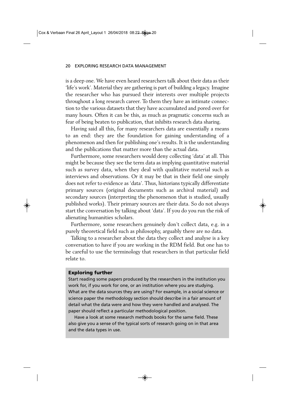is a deep one. We have even heard researchers talk about their data as their 'life's work'. Material they are gathering is part of building a legacy. Imagine the researcher who has pursued their interests over multiple projects throughout a long research career. To them they have an intimate connec tion to the various datasets that they have accumulated and pored over for many hours. Often it can be this, as much as pragmatic concerns such as fear of being beaten to publication, that inhibits research data sharing.

Having said all this, for many researchers data are essentially a means to an end: they are the foundation for gaining understanding of a phenomenon and then for publishing one's results. It is the understanding and the publications that matter more than the actual data.

Furthermore, some researchers would deny collecting 'data' at all. This might be because they see the term data as implying quantitative material such as survey data, when they deal with qualitative material such as interviews and observations. Or it may be that in their field one simply does not refer to evidence as 'data'. Thus, historians typically differentiate primary sources (original documents such as archival material) and secondary sources (interpreting the phenomenon that is studied, usually published works). Their primary sources are their data. So do not always start the conversation by talking about 'data'. If you do you run the risk of alienating humanities scholars.

Furthermore, some researchers genuinely don't collect data, e.g. in a purely theoretical field such as philosophy, arguably there are no data.

Talking to a researcher about the data they collect and analyse is a key conversation to have if you are working in the RDM field. But one has to be careful to use the terminology that researchers in that particular field relate to.

#### Exploring further

Start reading some papers produced by the researchers in the institution you work for, if you work for one, or an institution where you are studying. What are the data sources they are using? For example, in a social science or science paper the methodology section should describe in a fair amount of detail what the data were and how they were handled and analysed. The paper should reflect a particular methodological position.

Have a look at some research methods books for the same field. These also give you a sense of the typical sorts of research going on in that area and the data types in use.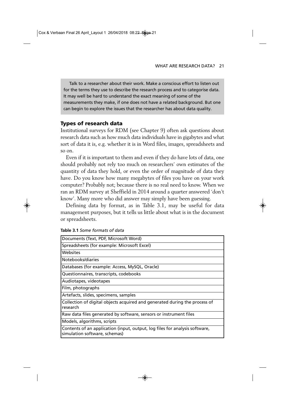Talk to a researcher about their work. Make a conscious effort to listen out for the terms they use to describe the research process and to categorise data. It may well be hard to understand the exact meaning of some of the measurements they make, if one does not have a related background. But one can begin to explore the issues that the researcher has about data quality.

#### Types of research data

Institutional surveys for RDM (see Chapter 9) often ask questions about research data such as how much data individuals have in gigabytes and what sort of data it is, e.g. whether it is in Word files, images, spreadsheets and so on.

Even if it is important to them and even if they do have lots of data, one should probably not rely too much on researchers' own estimates of the quantity of data they hold, or even the order of magnitude of data they have. Do you know how many megabytes of files you have on your work computer? Probably not; because there is no real need to know. When we ran an RDM survey at Sheffield in 2014 around a quarter answered 'don't know'. Many more who did answer may simply have been guessing.

Defining data by format, as in Table 3.1, may be useful for data management purposes, but it tells us little about what is in the document or spreadsheets.

| Documents (Text, PDF, Microsoft Word)                                                                        |
|--------------------------------------------------------------------------------------------------------------|
| Spreadsheets (for example: Microsoft Excel)                                                                  |
| Websites                                                                                                     |
| Notebooks/diaries                                                                                            |
| Databases (for example: Access, MySQL, Oracle)                                                               |
| Questionnaires, transcripts, codebooks                                                                       |
| Audiotapes, videotapes                                                                                       |
| Film, photographs                                                                                            |
| Artefacts, slides, specimens, samples                                                                        |
| Collection of digital objects acquired and generated during the process of<br>research                       |
| Raw data files generated by software, sensors or instrument files                                            |
| Models, algorithms, scripts                                                                                  |
| Contents of an application (input, output, log files for analysis software,<br>simulation software, schemas) |
|                                                                                                              |

|  |  |  | Table 3.1 Some formats of data |  |  |
|--|--|--|--------------------------------|--|--|
|--|--|--|--------------------------------|--|--|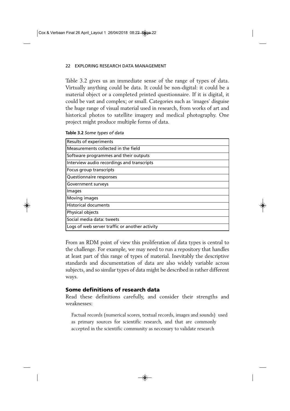#### 22 EXPLORING RESEARCH DATA MANAGEMENT

Table 3.2 gives us an immediate sense of the range of types of data. Virtually anything could be data. It could be non-digital: it could be a material object or a completed printed questionnaire. If it is digital, it could be vast and complex; or small. Categories such as 'images' disguise the huge range of visual material used in research, from works of art and historical photos to satellite imagery and medical photography. One project might produce multiple forms of data.

| Results of experiments                         |
|------------------------------------------------|
| Measurements collected in the field            |
| Software programmes and their outputs          |
| Interview audio recordings and transcripts     |
| Focus group transcripts                        |
| Questionnaire responses                        |
| Government surveys                             |
| Images                                         |
| Moving images                                  |
| <b>Historical documents</b>                    |
| Physical objects                               |
| Social media data: tweets                      |
| Logs of web server traffic or another activity |
|                                                |

**Table 3.2** *Some types of data*

From an RDM point of view this proliferation of data types is central to the challenge. For example, we may need to run a repository that handles at least part of this range of types of material. Inevitably the descriptive standards and documentation of data are also widely variable across subjects, and so similar types of data might be described in rather different ways.

## Some definitions of research data

Read these definitions carefully, and consider their strengths and weaknesses:

Factual records (numerical scores, textual records, images and sounds) used as primary sources for scientific research, and that are commonly accepted in the scientific community as necessary to validate research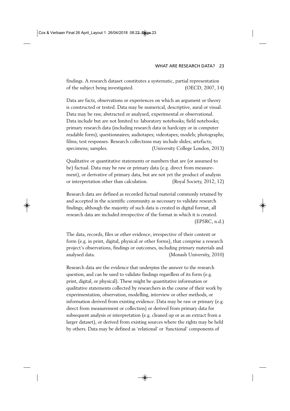findings. A research dataset constitutes a systematic, partial representation of the subject being investigated. (OECD, 2007, 14)

Data are facts, observations or experiences on which an argument or theory is constructed or tested. Data may be numerical, descriptive, aural or visual. Data may be raw, abstracted or analysed, experimental or observational. Data include but are not limited to: laboratory notebooks; field notebooks; primary research data (including research data in hardcopy or in computer readable form); questionnaires; audiotapes; videotapes; models; photographs; films; test responses. Research collections may include slides; artefacts; specimens; samples. (University College London, 2013)

Qualitative or quantitative statements or numbers that are (or assumed to be) factual. Data may be raw or primary data (e.g. direct from measure ment), or derivative of primary data, but are not yet the product of analysis or interpretation other than calculation. (Royal Society, 2012, 12)

Research data are defined as recorded factual material commonly retained by and accepted in the scientific community as necessary to validate research findings; although the majority of such data is created in digital format, all research data are included irrespective of the format in which it is created. (EPSRC, n.d.)

The data, records, files or other evidence, irrespective of their content or form (e.g. in print, digital, physical or other forms), that comprise a research project's observations, findings or outcomes, including primary materials and analysed data. (Monash University, 2010)

Research data are the evidence that underpins the answer to the research question, and can be used to validate findings regardless of its form (e.g. print, digital, or physical). These might be quantitative information or qualitative statements collected by researchers in the course of their work by experimentation, observation, modelling, interview or other methods, or information derived from existing evidence. Data may be raw or primary (e.g. direct from measurement or collection) or derived from primary data for subsequent analysis or interpretation (e.g. cleaned up or as an extract from a larger dataset), or derived from existing sources where the rights may be held by others. Data may be defined as 'relational' or 'functional' components of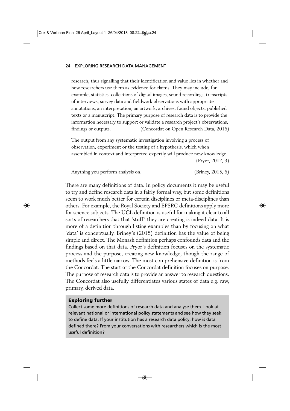#### 24 EXPLORING RESEARCH DATA MANAGEMENT

research, thus signalling that their identification and value lies in whether and how researchers use them as evidence for claims. They may include, for example, statistics, collections of digital images, sound recordings, transcripts of interviews, survey data and fieldwork observations with appropriate annotations, an interpretation, an artwork, archives, found objects, published texts or a manuscript. The primary purpose of research data is to provide the information necessary to support or validate a research project's observations, findings or outputs. (Concordat on Open Research Data, 2016)

The output from any systematic investigation involving a process of observation, experiment or the testing of a hypothesis, which when assembled in context and interpreted expertly will produce new knowledge. (Pryor, 2012, 3)

Anything you perform analysis on. (Briney, 2015, 6)

There are many definitions of data. In policy documents it may be useful to try and define research data in a fairly formal way, but some definitions seem to work much better for certain disciplines or meta-disciplines than others. For example, the Royal Society and EPSRC definitions apply more for science subjects. The UCL definition is useful for making it clear to all sorts of researchers that that 'stuff' they are creating is indeed data. It is more of a definition through listing examples than by focusing on what 'data' is conceptually. Briney's (2015) definition has the value of being simple and direct. The Monash definition perhaps confounds data and the findings based on that data. Pryor's definition focuses on the systematic process and the purpose, creating new knowledge, though the range of methods feels a little narrow. The most comprehensive definition is from the Concordat. The start of the Concordat definition focuses on purpose. The purpose of research data is to provide an answer to research questions. The Concordat also usefully differentiates various states of data e.g. raw, primary, derived data.

#### Exploring further

Collect some more definitions of research data and analyse them. Look at relevant national or international policy statements and see how they seek to define data. If your institution has a research data policy, how is data defined there? From your conversations with researchers which is the most useful definition?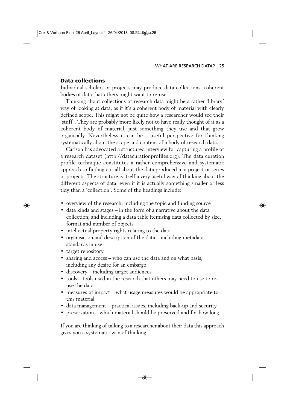### Data collections

Individual scholars or projects may produce data collections: coherent bodies of data that others might want to re-use.

Thinking about collections of research data might be a rather 'library' way of looking at data, as if it's a coherent body of material with clearly defined scope. This might not be quite how a researcher would see their 'stuff'. They are probably more likely not to have really thought of it as a coherent body of material, just something they use and that grew organically. Nevertheless it can be a useful perspective for thinking systematically about the scope and content of a body of research data.

Carlson has advocated a structured interview for capturing a profile of a research dataset (http://datacurationprofiles.org). The data curation profile technique constitutes a rather comprehensive and systematic approach to finding out all about the data produced in a project or series of projects. The structure is itself a very useful way of thinking about the different aspects of data, even if it is actually something smaller or less tidy than a 'collection'. Some of the headings include:

- overview of the research, including the topic and funding source
- data kinds and stages in the form of a narrative about the data collection, and including a data table itemising data collected by size, format and number of objects
- intellectual property rights relating to the data
- organisation and description of the data including metadata standards in use
- target repository
- sharing and access who can use the data and on what basis, including any desire for an embargo
- discovery including target audiences
- tools tools used in the research that others may need to use to reuse the data
- measures of impact what usage measures would be appropriate to this material
- data management practical issues, including back-up and security
- preservation which material should be preserved and for how long.

If you are thinking of talking to a researcher about their data this approach gives you a systematic way of thinking.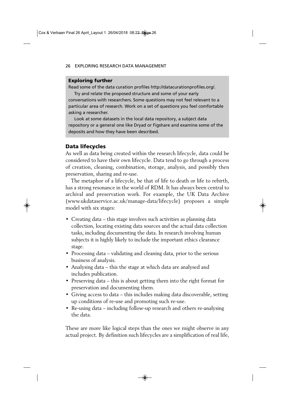#### Exploring further

Read some of the data curation profiles http://datacurationprofiles.org/.

Try and relate the proposed structure and some of your early conversations with researchers. Some questions may not feel relevant to a particular area of research. Work on a set of questions you feel comfortable asking a researcher.

Look at some datasets in the local data repository, a subject data repository or a general one like Dryad or Figshare and examine some of the deposits and how they have been described.

## Data lifecycles

As well as data being created within the research lifecycle, data could be considered to have their own lifecycle. Data tend to go through a process of creation, cleaning, combination, storage, analysis, and possibly then preservation, sharing and re-use.

The metaphor of a lifecycle, be that of life to death or life to rebirth, has a strong resonance in the world of RDM. It has always been central to archival and preservation work. For example, the UK Data Archive (www.ukdataservice.ac.uk/manage-data/lifecycle) proposes a simple model with six stages:

- Creating data this stage involves such activities as planning data collection, locating existing data sources and the actual data collection tasks, including documenting the data. In research involving human subjects it is highly likely to include the important ethics clearance stage.
- Processing data validating and cleaning data, prior to the serious business of analysis.
- Analysing data this the stage at which data are analysed and includes publication.
- Preserving data this is about getting them into the right format for preservation and documenting them.
- Giving access to data this includes making data discoverable, setting up conditions of re-use and promoting such re-use.
- Re-using data including follow-up research and others re-analysing the data.

These are more like logical steps than the ones we might observe in any actual project. By definition such lifecycles are a simplification of real life,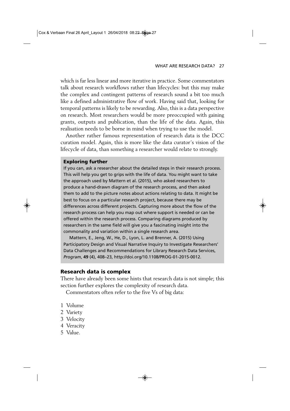which is far less linear and more iterative in practice. Some commentators talk about research workflows rather than lifecycles: but this may make the complex and contingent patterns of research sound a bit too much like a defined administrative flow of work. Having said that, looking for temporal patterns is likely to be rewarding. Also, this is a data perspective on research. Most researchers would be more preoccupied with gaining grants, outputs and publication, than the life of the data. Again, this realisation needs to be borne in mind when trying to use the model.

Another rather famous representation of research data is the DCC curation model. Again, this is more like the data curator's vision of the lifecycle of data, than something a researcher would relate to strongly.

#### Exploring further

If you can, ask a researcher about the detailed steps in their research process. This will help you get to grips with the life of data. You might want to take the approach used by Mattern et al. (2015), who asked researchers to produce a hand-drawn diagram of the research process, and then asked them to add to the picture notes about actions relating to data. It might be best to focus on a particular research project, because there may be differences across different projects. Capturing more about the flow of the research process can help you map out where support is needed or can be offered within the research process. Comparing diagrams produced by researchers in the same field will give you a fascinating insight into the commonality and variation within a single research area.

Mattern, E., Jeng, W., He, D., Lyon, L. and Brenner, A. (2015) Using Participatory Design and Visual Narrative Inquiry to Investigate Researchers' Data Challenges and Recommendations for Library Research Data Services, *Program*, **49** (4), 408–23, http://doi.org/10.1108/PROG-01-2015-0012.

### Research data is complex

There have already been some hints that research data is not simple; this section further explores the complexity of research data.

Commentators often refer to the five Vs of big data:

- 1 Volume
- 2 Variety
- 3 Velocity
- 4 Veracity
- 5 Value.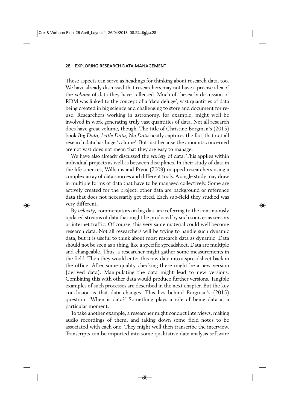These aspects can serve as headings for thinking about research data, too. We have already discussed that researchers may not have a precise idea of the *volume* of data they have collected. Much of the early discussion of RDM was linked to the concept of a 'data deluge', vast quantities of data being created in big science and challenging to store and document for reuse. Researchers working in astronomy, for example, might well be involved in work generating truly vast quantities of data. Not all research does have great volume, though. The title of Christine Borgman's (2015) book *Big Data, Little Data, No Data* neatly captures the fact that not all research data has huge 'volume'. But just because the amounts concerned are not vast does not mean that they are easy to manage.

We have also already discussed the *variety* of data. This applies within individual projects as well as between disciplines. In their study of data in the life sciences, Williams and Pryor (2009) mapped researchers using a complex array of data sources and different tools. A single study may draw in multiple forms of data that have to be managed collectively. Some are actively created for the project, other data are background or reference data that does not necessarily get cited. Each sub-field they studied was very different.

By *velocity*, commentators on big data are referring to the continuously updated streams of data that might be produced by such sources as sensors or internet traffic. Of course, this very same material could well become research data. Not all researchers will be trying to handle such dynamic data, but it is useful to think about most research data as dynamic. Data should not be seen as a thing, like a specific spreadsheet. Data are multiple and changeable. Thus, a researcher might gather some measurements in the field. Then they would enter this raw data into a spreadsheet back in the office. After some quality checking there might be a new version (derived data). Manipulating the data might lead to new versions. Combining this with other data would produce further versions. Tangible examples of such processes are described in the next chapter. But the key conclusion is that data changes. This lies behind Borgman's (2015) question: 'When is data?' Something plays a role of being data at a particular moment.

To take another example, a researcher might conduct interviews, making audio recordings of them, and taking down some field notes to be associated with each one. They might well then transcribe the interview. Transcripts can be imported into some qualitative data analysis software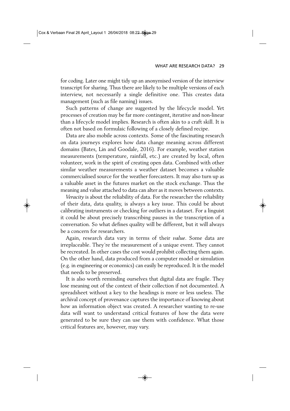for coding. Later one might tidy up an anonymised version of the interview transcript for sharing. Thus there are likely to be multiple versions of each interview, not necessarily a single definitive one. This creates data management (such as file naming) issues.

Such patterns of change are suggested by the lifecycle model. Yet processes of creation may be far more contingent, iterative and non-linear than a lifecycle model implies. Research is often akin to a craft skill. It is often not based on formulaic following of a closely defined recipe.

Data are also mobile across contexts. Some of the fascinating research on data journeys explores how data change meaning across different domains (Bates, Lin and Goodale, 2016). For example, weather station measurements (temperature, rainfall, etc.) are created by local, often volunteer, work in the spirit of creating open data. Combined with other similar weather measurements a weather dataset becomes a valuable commercialised source for the weather forecasters. It may also turn up as a valuable asset in the futures market on the stock exchange. Thus the meaning and value attached to data can alter as it moves between contexts.

*Veracity* is about the reliability of data. For the researcher the reliability of their data, data quality, is always a key issue. This could be about calibrating instruments or checking for outliers in a dataset. For a linguist it could be about precisely transcribing pauses in the transcription of a conversation. So what defines quality will be different, but it will always be a concern for researchers.

Again, research data vary in terms of their *value*. Some data are irreplaceable. They're the measurement of a unique event. They cannot be recreated. In other cases the cost would prohibit collecting them again. On the other hand, data produced from a computer model or simulation (e.g. in engineering or economics) can easily be reproduced. It is the model that needs to be preserved.

It is also worth reminding ourselves that digital data are fragile. They lose meaning out of the context of their collection if not documented. A spreadsheet without a key to the headings is more or less useless. The archival concept of provenance captures the importance of knowing about how an information object was created. A researcher wanting to re-use data will want to understand critical features of how the data were generated to be sure they can use them with confidence. What those critical features are, however, may vary.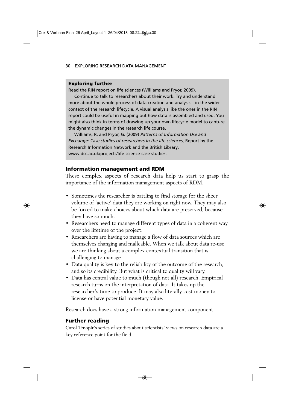#### Exploring further

Read the RIN report on life sciences (Williams and Pryor, 2009).

Continue to talk to researchers about their work. Try and understand more about the whole process of data creation and analysis – in the wider context of the research lifecycle. A visual analysis like the ones in the RIN report could be useful in mapping out how data is assembled and used. You might also think in terms of drawing up your own lifecycle model to capture the dynamic changes in the research life course.

Williams, R. and Pryor, G. (2009) *Patterns of Information Use and Exchange: Case studies of researchers in the life sciences*, Report by the Research Information Network and the British Library, www.dcc.ac.uk/projects/life-science-case-studies.

### Information management and RDM

These complex aspects of research data help us start to grasp the importance of the information management aspects of RDM.

- Sometimes the researcher is battling to find storage for the sheer volume of 'active' data they are working on right now. They may also be forced to make choices about which data are preserved, because they have so much.
- Researchers need to manage different types of data in a coherent way over the lifetime of the project.
- Researchers are having to manage a flow of data sources which are themselves changing and malleable. When we talk about data re-use we are thinking about a complex contextual transition that is challenging to manage.
- Data quality is key to the reliability of the outcome of the research, and so its credibility. But what is critical to quality will vary.
- Data has central value to much (though not all) research. Empirical research turns on the interpretation of data. It takes up the researcher's time to produce. It may also literally cost money to license or have potential monetary value.

Research does have a strong information management component.

### Further reading

Carol Tenopir's series of studies about scientists' views on research data are a key reference point for the field.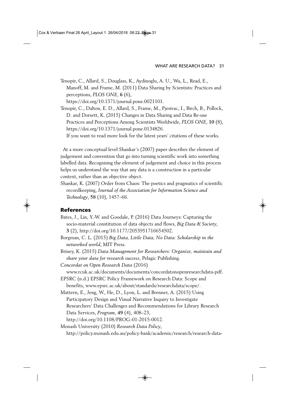- Tenopir, C., Allard, S., Douglass, K., Aydinoglu, A. U., Wu, L., Read, E., Manoff, M. and Frame, M. (2011) Data Sharing by Scientists: Practices and perceptions, *PLOS ONE*, **6** (6), https://doi.org/10.1371/journal.pone.0021101.
- Tenopir, C., Dalton, E. D., Allard, S., Frame, M., Pjesivac, I., Birch, B., Pollock, D. and Dorsett, K. (2015) Changes in Data Sharing and Data Re-use Practices and Perceptions Among Scientists Worldwide, *PLOS ONE*, **10** (8), https://doi.org/10.1371/journal.pone.0134826.

If you want to read more look for the latest years' citations of these works.

At a more conceptual level Shankar's (2007) paper describes the element of judgement and convention that go into turning scientific work into something labelled data. Recognising the element of judgement and choice in this process helps us understand the way that any data is a construction in a particular context, rather than an objective object.

Shankar, K. (2007) Order from Chaos: The poetics and pragmatics of scientific recordkeeping, *Journal of the Association for Information Science and Technology*, **58** (10), 1457–66.

#### References

- Bates, J., Lin, Y.-W. and Goodale, P. (2016) Data Journeys: Capturing the socio-material constitution of data objects and flows, *Big Data & Society*, **3** (2), http://doi.org/10.1177/2053951716654502.
- Borgman, C. L. (2015) *Big Data, Little Data, No Data: Scholarship in the networked world*, MIT Press.
- Briney, K. (2015) *Data Management for Researchers: Organize, maintain and share your data for research success*, Pelagic Publishing.
- *Concordat on Open Research Data* (2016)
- www.rcuk.ac.uk/documents/documents/concordatonopenresearchdata-pdf.
- EPSRC (n.d.) EPSRC Policy Framework on Research Data: Scope and benefits, www.epsrc.ac.uk/about/standards/researchdata/scope/.
- Mattern, E., Jeng, W., He, D., Lyon, L. and Brenner, A. (2015) Using Participatory Design and Visual Narrative Inquiry to Investigate Researchers' Data Challenges and Recommendations for Library Research Data Services, *Program*, **49** (4), 408–23, http://doi.org/10.1108/PROG-01-2015-0012.
- Monash University (2010) *Research Data Policy*, http://policy.monash.edu.au/policy-bank/academic/research/research-data-